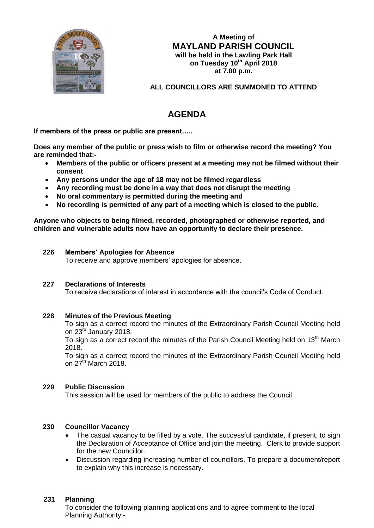

**A Meeting of MAYLAND PARISH COUNCIL will be held in the Lawling Park Hall on Tuesday 10th April 2018 at 7.00 p.m.**

**ALL COUNCILLORS ARE SUMMONED TO ATTEND**

# **AGENDA**

**If members of the press or public are present…..**

**Does any member of the public or press wish to film or otherwise record the meeting? You are reminded that:-**

- **Members of the public or officers present at a meeting may not be filmed without their consent**
- **Any persons under the age of 18 may not be filmed regardless**
- **Any recording must be done in a way that does not disrupt the meeting**
- **No oral commentary is permitted during the meeting and**
- **No recording is permitted of any part of a meeting which is closed to the public.**

**Anyone who objects to being filmed, recorded, photographed or otherwise reported, and children and vulnerable adults now have an opportunity to declare their presence.**

# **226 Members' Apologies for Absence**

To receive and approve members' apologies for absence.

# **227 Declarations of Interests**

To receive declarations of interest in accordance with the council's Code of Conduct.

# **228 Minutes of the Previous Meeting**

To sign as a correct record the minutes of the Extraordinary Parish Council Meeting held on 23<sup>rd</sup> January 2018.

To sign as a correct record the minutes of the Parish Council Meeting held on 13<sup>th</sup> March 2018.

To sign as a correct record the minutes of the Extraordinary Parish Council Meeting held on  $27^{\text{th}}$  March 2018.

# **229 Public Discussion**

This session will be used for members of the public to address the Council.

# **230 Councillor Vacancy**

- The casual vacancy to be filled by a vote. The successful candidate, if present, to sign the Declaration of Acceptance of Office and join the meeting. Clerk to provide support for the new Councillor.
- Discussion regarding increasing number of councillors. To prepare a document/report to explain why this increase is necessary.

# **231 Planning**

To consider the following planning applications and to agree comment to the local Planning Authority:-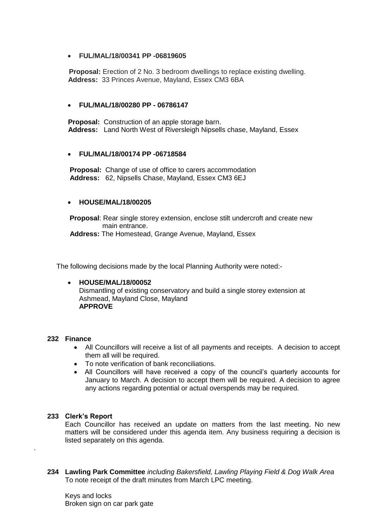# **FUL/MAL/18/00341 PP -06819605**

 **Proposal:** Erection of 2 No. 3 bedroom dwellings to replace existing dwelling.  **Address:** 33 Princes Avenue, Mayland, Essex CM3 6BA

## **FUL/MAL/18/00280 PP - 06786147**

 **Proposal:** Construction of an apple storage barn. **Address:** Land North West of Riversleigh Nipsells chase, Mayland, Essex

## **FUL/MAL/18/00174 PP -06718584**

**Proposal:** Change of use of office to carers accommodation **Address:** 62, Nipsells Chase, Mayland, Essex CM3 6EJ

## **HOUSE/MAL/18/00205**

**Proposal**: Rear single storey extension, enclose stilt undercroft and create new main entrance.

**Address:** The Homestead, Grange Avenue, Mayland, Essex

The following decisions made by the local Planning Authority were noted:-

#### **HOUSE/MAL/18/00052** Dismantling of existing conservatory and build a single storey extension at Ashmead, Mayland Close, Mayland **APPROVE**

### **232 Finance**

- All Councillors will receive a list of all payments and receipts. A decision to accept them all will be required.
- To note verification of bank reconciliations.
- All Councillors will have received a copy of the council's quarterly accounts for January to March. A decision to accept them will be required. A decision to agree any actions regarding potential or actual overspends may be required.

#### **233 Clerk's Report**

.

Each Councillor has received an update on matters from the last meeting. No new matters will be considered under this agenda item. Any business requiring a decision is listed separately on this agenda.

**234 Lawling Park Committee** *including Bakersfield, Lawling Playing Field & Dog Walk Area* To note receipt of the draft minutes from March LPC meeting.

Keys and locks Broken sign on car park gate